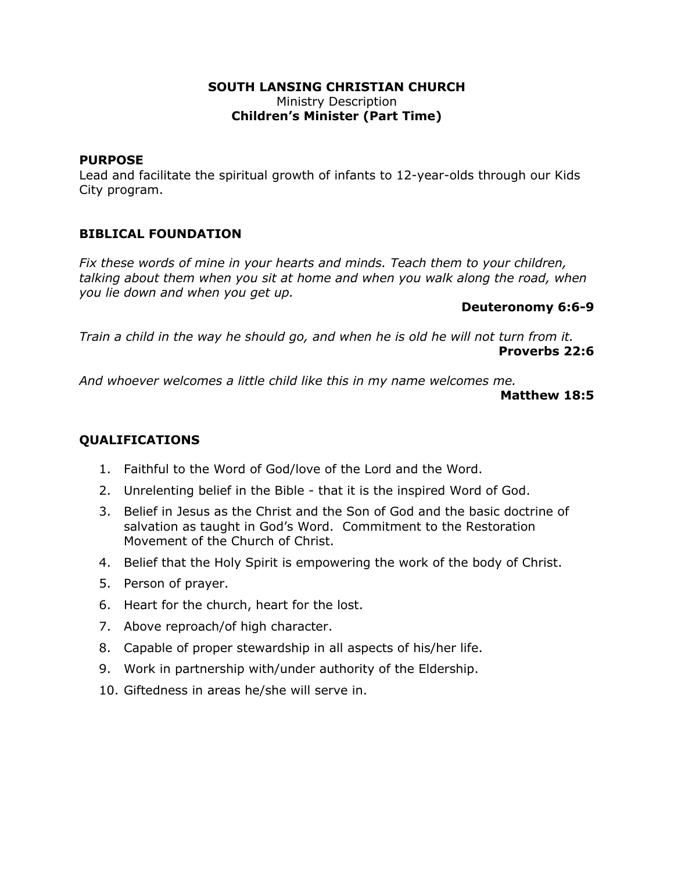#### **SOUTH LANSING CHRISTIAN CHURCH** Ministry Description **Children's Minister (Part Time)**

### **PURPOSE**

Lead and facilitate the spiritual growth of infants to 12-year-olds through our Kids City program.

## **BIBLICAL FOUNDATION**

*Fix these words of mine in your hearts and minds. Teach them to your children, talking about them when you sit at home and when you walk along the road, when you lie down and when you get up.*

### **Deuteronomy 6:6-9**

*Train a child in the way he should go, and when he is old he will not turn from it.* **Proverbs 22:6**

*And whoever welcomes a little child like this in my name welcomes me.*

#### **Matthew 18:5**

# **QUALIFICATIONS**

- 1. Faithful to the Word of God/love of the Lord and the Word.
- 2. Unrelenting belief in the Bible that it is the inspired Word of God.
- 3. Belief in Jesus as the Christ and the Son of God and the basic doctrine of salvation as taught in God's Word. Commitment to the Restoration Movement of the Church of Christ.
- 4. Belief that the Holy Spirit is empowering the work of the body of Christ.
- 5. Person of prayer.
- 6. Heart for the church, heart for the lost.
- 7. Above reproach/of high character.
- 8. Capable of proper stewardship in all aspects of his/her life.
- 9. Work in partnership with/under authority of the Eldership.
- 10. Giftedness in areas he/she will serve in.